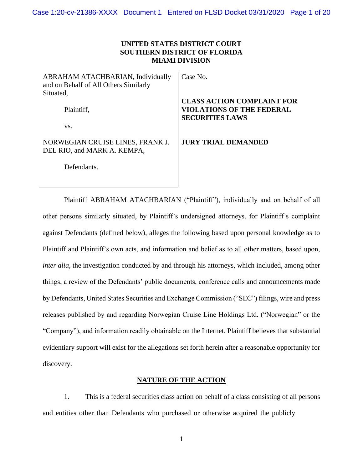# **UNITED STATES DISTRICT COURT SOUTHERN DISTRICT OF FLORIDA MIAMI DIVISION**

ABRAHAM ATACHBARIAN, Individually and on Behalf of All Others Similarly Situated,

Plaintiff,

vs.

# NORWEGIAN CRUISE LINES, FRANK J. DEL RIO, and MARK A. KEMPA,

Defendants.

### Case No.

# **CLASS ACTION COMPLAINT FOR VIOLATIONS OF THE FEDERAL SECURITIES LAWS**

# **JURY TRIAL DEMANDED**

Plaintiff ABRAHAM ATACHBARIAN ("Plaintiff"), individually and on behalf of all other persons similarly situated, by Plaintiff's undersigned attorneys, for Plaintiff's complaint against Defendants (defined below), alleges the following based upon personal knowledge as to Plaintiff and Plaintiff's own acts, and information and belief as to all other matters, based upon, *inter alia*, the investigation conducted by and through his attorneys, which included, among other things, a review of the Defendants' public documents, conference calls and announcements made by Defendants, United States Securities and Exchange Commission ("SEC") filings, wire and press releases published by and regarding Norwegian Cruise Line Holdings Ltd. ("Norwegian" or the "Company"), and information readily obtainable on the Internet. Plaintiff believes that substantial evidentiary support will exist for the allegations set forth herein after a reasonable opportunity for discovery.

# **NATURE OF THE ACTION**

1. This is a federal securities class action on behalf of a class consisting of all persons and entities other than Defendants who purchased or otherwise acquired the publicly

1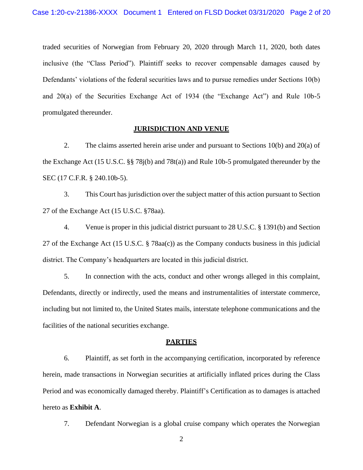traded securities of Norwegian from February 20, 2020 through March 11, 2020, both dates inclusive (the "Class Period"). Plaintiff seeks to recover compensable damages caused by Defendants' violations of the federal securities laws and to pursue remedies under Sections 10(b) and 20(a) of the Securities Exchange Act of 1934 (the "Exchange Act") and Rule 10b-5 promulgated thereunder.

### **JURISDICTION AND VENUE**

2. The claims asserted herein arise under and pursuant to Sections 10(b) and 20(a) of the Exchange Act (15 U.S.C. §§ 78j(b) and 78t(a)) and Rule 10b-5 promulgated thereunder by the SEC (17 C.F.R. § 240.10b-5).

3. This Court has jurisdiction over the subject matter of this action pursuant to Section 27 of the Exchange Act (15 U.S.C. §78aa).

4. Venue is proper in this judicial district pursuant to 28 U.S.C. § 1391(b) and Section 27 of the Exchange Act (15 U.S.C. § 78aa(c)) as the Company conducts business in this judicial district. The Company's headquarters are located in this judicial district.

5. In connection with the acts, conduct and other wrongs alleged in this complaint, Defendants, directly or indirectly, used the means and instrumentalities of interstate commerce, including but not limited to, the United States mails, interstate telephone communications and the facilities of the national securities exchange.

### **PARTIES**

6. Plaintiff, as set forth in the accompanying certification, incorporated by reference herein, made transactions in Norwegian securities at artificially inflated prices during the Class Period and was economically damaged thereby. Plaintiff's Certification as to damages is attached hereto as **Exhibit A**.

7. Defendant Norwegian is a global cruise company which operates the Norwegian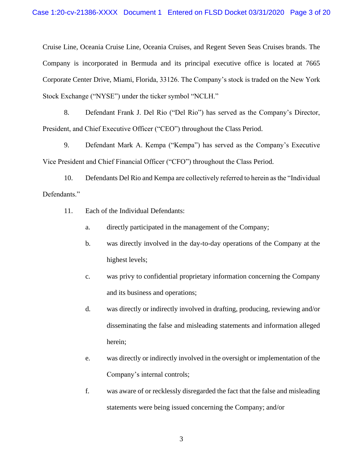Cruise Line, Oceania Cruise Line, Oceania Cruises, and Regent Seven Seas Cruises brands. The Company is incorporated in Bermuda and its principal executive office is located at 7665 Corporate Center Drive, Miami, Florida, 33126. The Company's stock is traded on the New York Stock Exchange ("NYSE") under the ticker symbol "NCLH."

8. Defendant Frank J. Del Rio ("Del Rio") has served as the Company's Director, President, and Chief Executive Officer ("CEO") throughout the Class Period.

9. Defendant Mark A. Kempa ("Kempa") has served as the Company's Executive Vice President and Chief Financial Officer ("CFO") throughout the Class Period.

10. Defendants Del Rio and Kempa are collectively referred to herein as the "Individual Defendants."

- 11. Each of the Individual Defendants:
	- a. directly participated in the management of the Company;
	- b. was directly involved in the day-to-day operations of the Company at the highest levels;
	- c. was privy to confidential proprietary information concerning the Company and its business and operations;
	- d. was directly or indirectly involved in drafting, producing, reviewing and/or disseminating the false and misleading statements and information alleged herein;
	- e. was directly or indirectly involved in the oversight or implementation of the Company's internal controls;
	- f. was aware of or recklessly disregarded the fact that the false and misleading statements were being issued concerning the Company; and/or

3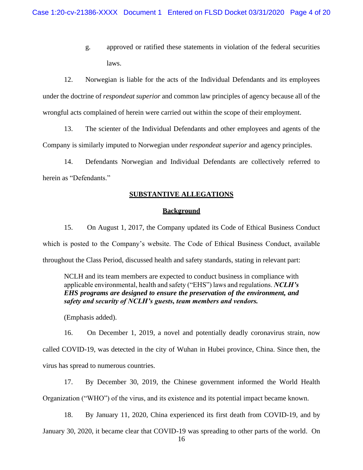g. approved or ratified these statements in violation of the federal securities laws.

12. Norwegian is liable for the acts of the Individual Defendants and its employees under the doctrine of *respondeat superior* and common law principles of agency because all of the wrongful acts complained of herein were carried out within the scope of their employment.

13. The scienter of the Individual Defendants and other employees and agents of the Company is similarly imputed to Norwegian under *respondeat superior* and agency principles.

14. Defendants Norwegian and Individual Defendants are collectively referred to herein as "Defendants."

### **SUBSTANTIVE ALLEGATIONS**

### **Background**

15. On August 1, 2017, the Company updated its Code of Ethical Business Conduct which is posted to the Company's website. The Code of Ethical Business Conduct, available throughout the Class Period, discussed health and safety standards, stating in relevant part:

NCLH and its team members are expected to conduct business in compliance with applicable environmental, health and safety ("EHS") laws and regulations. *NCLH's EHS programs are designed to ensure the preservation of the environment, and safety and security of NCLH's guests, team members and vendors.*

(Emphasis added).

16. On December 1, 2019, a novel and potentially deadly coronavirus strain, now called COVID-19, was detected in the city of Wuhan in Hubei province, China. Since then, the virus has spread to numerous countries.

17. By December 30, 2019, the Chinese government informed the World Health Organization ("WHO") of the virus, and its existence and its potential impact became known.

18. By January 11, 2020, China experienced its first death from COVID-19, and by January 30, 2020, it became clear that COVID-19 was spreading to other parts of the world. On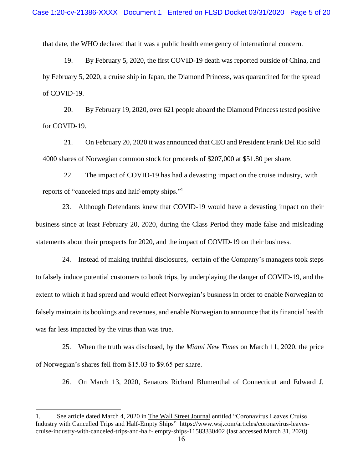that date, the WHO declared that it was a public health emergency of international concern.

19. By February 5, 2020, the first COVID-19 death was reported outside of China, and by February 5, 2020, a cruise ship in Japan, the Diamond Princess, was quarantined for the spread of COVID-19.

20. By February 19, 2020, over 621 people aboard the Diamond Princess tested positive for COVID-19.

21. On February 20, 2020 it was announced that CEO and President Frank Del Rio sold 4000 shares of Norwegian common stock for proceeds of \$207,000 at \$51.80 per share.

22. The impact of COVID-19 has had a devasting impact on the cruise industry, with reports of "canceled trips and half-empty ships."<sup>1</sup>

23. Although Defendants knew that COVID-19 would have a devasting impact on their business since at least February 20, 2020, during the Class Period they made false and misleading statements about their prospects for 2020, and the impact of COVID-19 on their business.

24. Instead of making truthful disclosures, certain of the Company's managers took steps to falsely induce potential customers to book trips, by underplaying the danger of COVID-19, and the extent to which it had spread and would effect Norwegian's business in order to enable Norwegian to falsely maintain its bookings and revenues, and enable Norwegian to announce that its financial health was far less impacted by the virus than was true.

25. When the truth was disclosed, by the *Miami New Times* on March 11, 2020, the price of Norwegian's shares fell from \$15.03 to \$9.65 per share.

26. On March 13, 2020, Senators Richard Blumenthal of Connecticut and Edward J.

<sup>1.</sup> See article dated March 4, 2020 in The Wall Street Journal entitled "Coronavirus Leaves Cruise Industry with Cancelled Trips and Half-Empty Ships" [https://www.wsj.com/articles/coronavirus-leaves](https://www.wsj.com/articles/coronavirus-leaves-cruise-industry-with-canceled-trips-and-half-)[cruise-industry-with-canceled-trips-and-half-](https://www.wsj.com/articles/coronavirus-leaves-cruise-industry-with-canceled-trips-and-half-) [empty-ships-11583330402](https://www.wsj.com/articles/coronavirus-leaves-cruise-industry-with-canceled-trips-and-half-empty-ships-11583330402) (last accessed March 31, 2020)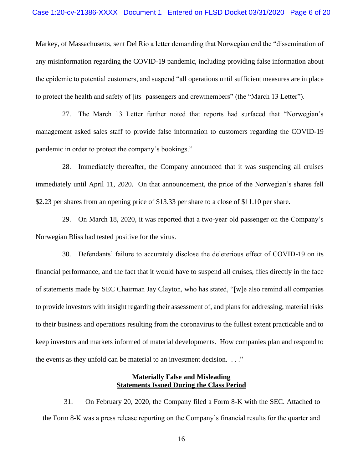Markey, of Massachusetts, sent Del Rio a letter demanding that Norwegian end the "dissemination of any misinformation regarding the COVID-19 pandemic, including providing false information about the epidemic to potential customers, and suspend "all operations until sufficient measures are in place to protect the health and safety of [its] passengers and crewmembers" (the "March 13 Letter").

27. The March 13 Letter further noted that reports had surfaced that "Norwegian's management asked sales staff to provide false information to customers regarding the COVID-19 pandemic in order to protect the company's bookings."

28. Immediately thereafter, the Company announced that it was suspending all cruises immediately until April 11, 2020. On that announcement, the price of the Norwegian's shares fell \$2.23 per shares from an opening price of \$13.33 per share to a close of \$11.10 per share.

29. On March 18, 2020, it was reported that a two-year old passenger on the Company's Norwegian Bliss had tested positive for the virus.

30. Defendants' failure to accurately disclose the deleterious effect of COVID-19 on its financial performance, and the fact that it would have to suspend all cruises, flies directly in the face of statements made by SEC Chairman Jay Clayton, who has stated, "[w]e also remind all companies to provide investors with insight regarding their assessment of, and plans for addressing, material risks to their business and operations resulting from the coronavirus to the fullest extent practicable and to keep investors and markets informed of material developments. How companies plan and respond to the events as they unfold can be material to an investment decision. . . ."

## **Materially False and Misleading Statements Issued During the Class Period**

31. On February 20, 2020, the Company filed a Form 8-K with the SEC. Attached to the Form 8-K was a press release reporting on the Company's financial results for the quarter and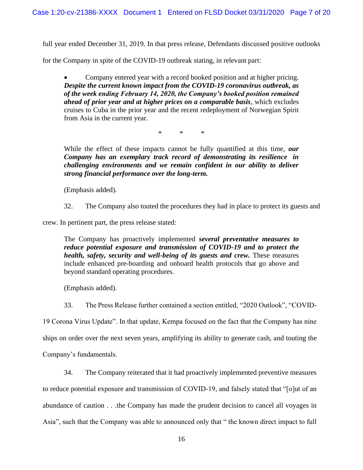full year ended December 31, 2019. In that press release, Defendants discussed positive outlooks

for the Company in spite of the COVID-19 outbreak stating, in relevant part:

• Company entered year with a record booked position and at higher pricing. *Despite the current known impact from the COVID-19 coronavirus outbreak, as of the week ending February 14, 2020, the Company's booked position remained ahead of prior year and at higher prices on a comparable basis*, which excludes cruises to Cuba in the prior year and the recent redeployment of Norwegian Spirit from Asia in the current year.

\* \* \*

While the effect of these impacts cannot be fully quantified at this time, *our Company has an exemplary track record of demonstrating its resilience in challenging environments and we remain confident in our ability to deliver strong financial performance over the long-term.*

(Emphasis added).

32. The Company also touted the procedures they had in place to protect its guests and

crew. In pertinent part, the press release stated:

The Company has proactively implemented *several preventative measures to reduce potential exposure and transmission of COVID-19 and to protect the health, safety, security and well-being of its guests and crew. These measures* include enhanced pre-boarding and onboard health protocols that go above and beyond standard operating procedures.

(Emphasis added).

33. The Press Release further contained a section entitled, "2020 Outlook", "COVID-

19 Corona Virus Update". In that update, Kempa focused on the fact that the Company has nine ships on order over the next seven years, amplifying its ability to generate cash, and touting the Company's fundamentals.

34. The Company reiterated that it had proactively implemented preventive measures

to reduce potential exposure and transmission of COVID-19, and falsely stated that "[o]ut of an abundance of caution . . .the Company has made the prudent decision to cancel all voyages in Asia", such that the Company was able to announced only that " the known direct impact to full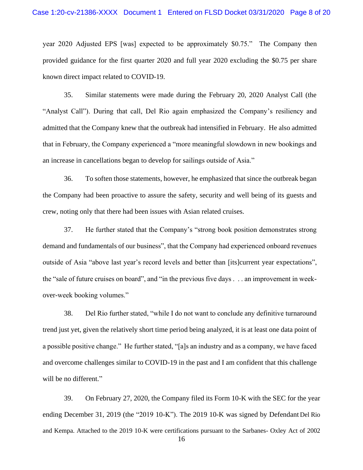year 2020 Adjusted EPS [was] expected to be approximately \$0.75." The Company then provided guidance for the first quarter 2020 and full year 2020 excluding the \$0.75 per share known direct impact related to COVID-19.

35. Similar statements were made during the February 20, 2020 Analyst Call (the "Analyst Call"). During that call, Del Rio again emphasized the Company's resiliency and admitted that the Company knew that the outbreak had intensified in February. He also admitted that in February, the Company experienced a "more meaningful slowdown in new bookings and an increase in cancellations began to develop for sailings outside of Asia."

36. To soften those statements, however, he emphasized that since the outbreak began the Company had been proactive to assure the safety, security and well being of its guests and crew, noting only that there had been issues with Asian related cruises.

37. He further stated that the Company's "strong book position demonstrates strong demand and fundamentals of our business", that the Company had experienced onboard revenues outside of Asia "above last year's record levels and better than [its]current year expectations", the "sale of future cruises on board", and "in the previous five days . . . an improvement in weekover-week booking volumes."

38. Del Rio further stated, "while I do not want to conclude any definitive turnaround trend just yet, given the relatively short time period being analyzed, it is at least one data point of a possible positive change." He further stated, "[a]s an industry and as a company, we have faced and overcome challenges similar to COVID-19 in the past and I am confident that this challenge will be no different."

39. On February 27, 2020, the Company filed its Form 10-K with the SEC for the year ending December 31, 2019 (the "2019 10-K"). The 2019 10-K was signed by Defendant Del Rio and Kempa. Attached to the 2019 10-K were certifications pursuant to the Sarbanes- Oxley Act of 2002

16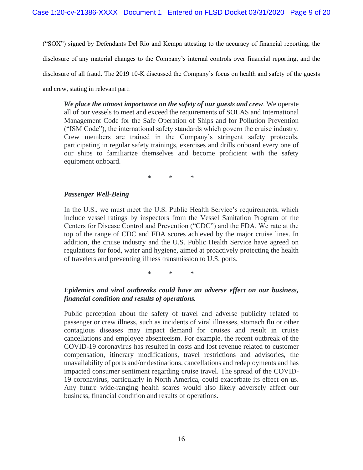("SOX") signed by Defendants Del Rio and Kempa attesting to the accuracy of financial reporting, the disclosure of any material changes to the Company's internal controls over financial reporting, and the disclosure of all fraud. The 2019 10-K discussed the Company's focus on health and safety of the guests and crew, stating in relevant part:

*We place the utmost importance on the safety of our guests and crew*. We operate all of our vessels to meet and exceed the requirements of SOLAS and International Management Code for the Safe Operation of Ships and for Pollution Prevention ("ISM Code"), the international safety standards which govern the cruise industry. Crew members are trained in the Company's stringent safety protocols, participating in regular safety trainings, exercises and drills onboard every one of our ships to familiarize themselves and become proficient with the safety equipment onboard.

\* \* \*

# *Passenger Well-Being*

In the U.S., we must meet the U.S. Public Health Service's requirements, which include vessel ratings by inspectors from the Vessel Sanitation Program of the Centers for Disease Control and Prevention ("CDC") and the FDA. We rate at the top of the range of CDC and FDA scores achieved by the major cruise lines. In addition, the cruise industry and the U.S. Public Health Service have agreed on regulations for food, water and hygiene, aimed at proactively protecting the health of travelers and preventing illness transmission to U.S. ports.

\* \* \*

# *Epidemics and viral outbreaks could have an adverse effect on our business, financial condition and results of operations.*

Public perception about the safety of travel and adverse publicity related to passenger or crew illness, such as incidents of viral illnesses, stomach flu or other contagious diseases may impact demand for cruises and result in cruise cancellations and employee absenteeism. For example, the recent outbreak of the COVID-19 coronavirus has resulted in costs and lost revenue related to customer compensation, itinerary modifications, travel restrictions and advisories, the unavailability of ports and/or destinations, cancellations and redeployments and has impacted consumer sentiment regarding cruise travel. The spread of the COVID-19 coronavirus, particularly in North America, could exacerbate its effect on us. Any future wide-ranging health scares would also likely adversely affect our business, financial condition and results of operations.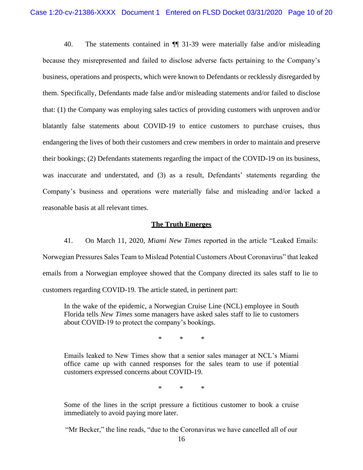40. The statements contained in ¶¶ 31-39 were materially false and/or misleading because they misrepresented and failed to disclose adverse facts pertaining to the Company's business, operations and prospects, which were known to Defendants or recklessly disregarded by them. Specifically, Defendants made false and/or misleading statements and/or failed to disclose that: (1) the Company was employing sales tactics of providing customers with unproven and/or blatantly false statements about COVID-19 to entice customers to purchase cruises, thus endangering the lives of both their customers and crew members in order to maintain and preserve their bookings; (2) Defendants statements regarding the impact of the COVID-19 on its business, was inaccurate and understated, and (3) as a result, Defendants' statements regarding the Company's business and operations were materially false and misleading and/or lacked a reasonable basis at all relevant times.

# **The Truth Emerges**

41. On March 11, 2020, *Miami New Times* reported in the article "Leaked Emails: Norwegian Pressures Sales Team to Mislead Potential Customers About Coronavirus" that leaked emails from a Norwegian employee showed that the Company directed its sales staff to lie to customers regarding COVID-19. The article stated, in pertinent part:

In the wake of the epidemic, a Norwegian Cruise Line (NCL) employee in South Florida tells *New Times* some managers have asked sales staff to lie to customers about COVID-19 to protect the company's bookings.

\* \* \*

Emails leaked to New Times show that a senior sales manager at NCL's Miami office came up with canned responses for the sales team to use if potential customers expressed concerns about COVID-19.

\* \* \*

Some of the lines in the script pressure a fictitious customer to book a cruise immediately to avoid paying more later.

"Mr Becker," the line reads, "due to the Coronavirus we have cancelled all of our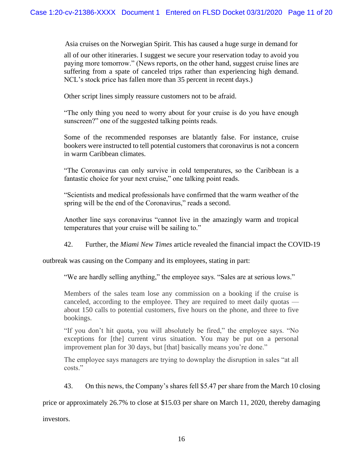Asia cruises on the Norwegian Spirit. This has caused a huge surge in demand for

all of our other itineraries. I suggest we secure your reservation today to avoid you paying more tomorrow." (News reports, on the other hand, suggest cruise lines are suffering from a spate of canceled trips rather than experiencing high demand. NCL's stock price has fallen more than 35 percent in recent days.)

Other script lines simply reassure customers not to be afraid.

"The only thing you need to worry about for your cruise is do you have enough sunscreen?" one of the suggested talking points reads.

Some of the recommended responses are blatantly false. For instance, cruise bookers were instructed to tell potential customers that coronavirus is not a concern in warm Caribbean climates.

"The Coronavirus can only survive in cold temperatures, so the Caribbean is a fantastic choice for your next cruise," one talking point reads.

"Scientists and medical professionals have confirmed that the warm weather of the spring will be the end of the Coronavirus," reads a second.

Another line says coronavirus "cannot live in the amazingly warm and tropical temperatures that your cruise will be sailing to."

42. Further, the *Miami New Times* article revealed the financial impact the COVID-19

outbreak was causing on the Company and its employees, stating in part:

"We are hardly selling anything," the employee says. "Sales are at serious lows."

Members of the sales team lose any commission on a booking if the cruise is canceled, according to the employee. They are required to meet daily quotas about 150 calls to potential customers, five hours on the phone, and three to five bookings.

"If you don't hit quota, you will absolutely be fired," the employee says. "No exceptions for [the] current virus situation. You may be put on a personal improvement plan for 30 days, but [that] basically means you're done."

The employee says managers are trying to downplay the disruption in sales "at all costs."

43. On this news, the Company's shares fell \$5.47 per share from the March 10 closing

price or approximately 26.7% to close at \$15.03 per share on March 11, 2020, thereby damaging

investors.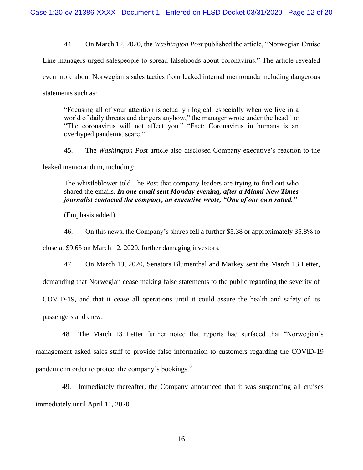44. On March 12, 2020, the *Washington Post* published the article, "Norwegian Cruise Line managers urged salespeople to spread falsehoods about coronavirus." The article revealed even more about Norwegian's sales tactics from leaked internal memoranda including dangerous statements such as:

"Focusing all of your attention is actually illogical, especially when we live in a world of daily threats and dangers anyhow," the manager wrote under the headline "The coronavirus will not affect you." "Fact: Coronavirus in humans is an overhyped pandemic scare."

45. The *Washington Post* article also disclosed Company executive's reaction to the leaked memorandum, including:

The whistleblower told The Post that company leaders are trying to find out who shared the emails. *In one email sent Monday evening, after a Miami New Times journalist contacted the company, an executive wrote, "One of our own ratted."*

(Emphasis added).

46. On this news, the Company's shares fell a further \$5.38 or approximately 35.8% to

close at \$9.65 on March 12, 2020, further damaging investors.

47. On March 13, 2020, Senators Blumenthal and Markey sent the March 13 Letter, demanding that Norwegian cease making false statements to the public regarding the severity of COVID-19, and that it cease all operations until it could assure the health and safety of its passengers and crew.

48. The March 13 Letter further noted that reports had surfaced that "Norwegian's management asked sales staff to provide false information to customers regarding the COVID-19 pandemic in order to protect the company's bookings."

49. Immediately thereafter, the Company announced that it was suspending all cruises immediately until April 11, 2020.

16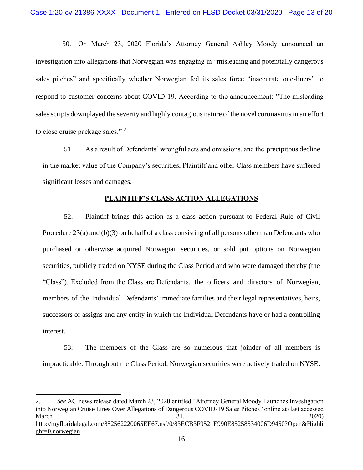50. On March 23, 2020 Florida's Attorney General Ashley Moody announced an investigation into allegations that Norwegian was engaging in "misleading and potentially dangerous sales pitches" and specifically whether Norwegian fed its sales force "inaccurate one-liners" to respond to customer concerns about COVID-19. According to the announcement: "The misleading sales scripts downplayed the severity and highly contagious nature of the novel coronavirus in an effort to close cruise package sales." <sup>2</sup>

51. As a result of Defendants' wrongful acts and omissions, and the precipitous decline in the market value of the Company's securities, Plaintiff and other Class members have suffered significant losses and damages.

# **PLAINTIFF'S CLASS ACTION ALLEGATIONS**

52. Plaintiff brings this action as a class action pursuant to Federal Rule of Civil Procedure 23(a) and (b)(3) on behalf of a class consisting of all persons other than Defendants who purchased or otherwise acquired Norwegian securities, or sold put options on Norwegian securities, publicly traded on NYSE during the Class Period and who were damaged thereby (the "Class"). Excluded from the Class are Defendants, the officers and directors of Norwegian, members of the Individual Defendants' immediate families and their legal representatives, heirs, successors or assigns and any entity in which the Individual Defendants have or had a controlling interest.

53. The members of the Class are so numerous that joinder of all members is impracticable. Throughout the Class Period, Norwegian securities were actively traded on NYSE.

<sup>2.</sup> *See* AG news release dated March 23, 2020 entitled "Attorney General Moody Launches Investigation into Norwegian Cruise Lines Over Allegations of Dangerous COVID-19 Sales Pitches" online at (last accessed March 2020) [http://myfloridalegal.com/852562220065EE67.nsf/0/83ECB3F9521E990E85258534006D9450?Open&Highli](http://myfloridalegal.com/852562220065EE67.nsf/0/83ECB3F9521E990E85258534006D9450?Open&Highlight=0,norwegian) [ght=0,norwegian](http://myfloridalegal.com/852562220065EE67.nsf/0/83ECB3F9521E990E85258534006D9450?Open&Highlight=0,norwegian)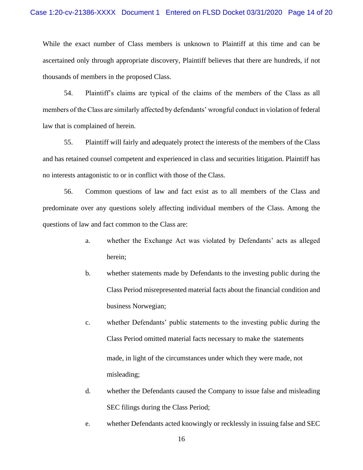While the exact number of Class members is unknown to Plaintiff at this time and can be ascertained only through appropriate discovery, Plaintiff believes that there are hundreds, if not thousands of members in the proposed Class.

54. Plaintiff's claims are typical of the claims of the members of the Class as all members of the Class are similarly affected by defendants' wrongful conduct in violation of federal law that is complained of herein.

55. Plaintiff will fairly and adequately protect the interests of the members of the Class and has retained counsel competent and experienced in class and securities litigation. Plaintiff has no interests antagonistic to or in conflict with those of the Class.

56. Common questions of law and fact exist as to all members of the Class and predominate over any questions solely affecting individual members of the Class. Among the questions of law and fact common to the Class are:

- a. whether the Exchange Act was violated by Defendants' acts as alleged herein;
- b. whether statements made by Defendants to the investing public during the Class Period misrepresented material facts about the financial condition and business Norwegian;
- c. whether Defendants' public statements to the investing public during the Class Period omitted material facts necessary to make the statements made, in light of the circumstances under which they were made, not misleading;
- d. whether the Defendants caused the Company to issue false and misleading SEC filings during the Class Period;
- e. whether Defendants acted knowingly or recklessly in issuing false and SEC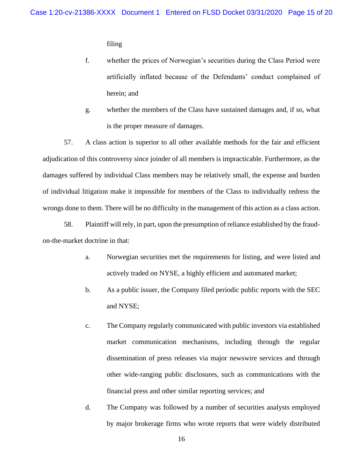filing

- f. whether the prices of Norwegian's securities during the Class Period were artificially inflated because of the Defendants' conduct complained of herein; and
- g. whether the members of the Class have sustained damages and, if so, what is the proper measure of damages.

57. A class action is superior to all other available methods for the fair and efficient adjudication of this controversy since joinder of all members is impracticable. Furthermore, as the damages suffered by individual Class members may be relatively small, the expense and burden of individual litigation make it impossible for members of the Class to individually redress the wrongs done to them. There will be no difficulty in the management of this action as a class action.

58. Plaintiff will rely, in part, upon the presumption of reliance established by the fraudon-the-market doctrine in that:

- a. Norwegian securities met the requirements for listing, and were listed and actively traded on NYSE, a highly efficient and automated market;
- b. As a public issuer, the Company filed periodic public reports with the SEC and NYSE;
- c. The Company regularly communicated with public investors via established market communication mechanisms, including through the regular dissemination of press releases via major newswire services and through other wide-ranging public disclosures, such as communications with the financial press and other similar reporting services; and
- d. The Company was followed by a number of securities analysts employed by major brokerage firms who wrote reports that were widely distributed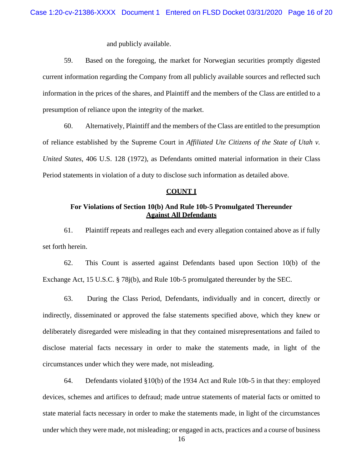and publicly available.

59. Based on the foregoing, the market for Norwegian securities promptly digested current information regarding the Company from all publicly available sources and reflected such information in the prices of the shares, and Plaintiff and the members of the Class are entitled to a presumption of reliance upon the integrity of the market.

60. Alternatively, Plaintiff and the members of the Class are entitled to the presumption of reliance established by the Supreme Court in *Affiliated Ute Citizens of the State of Utah v. United States*, 406 U.S. 128 (1972), as Defendants omitted material information in their Class Period statements in violation of a duty to disclose such information as detailed above.

### **COUNT I**

# **For Violations of Section 10(b) And Rule 10b-5 Promulgated Thereunder Against All Defendants**

61. Plaintiff repeats and realleges each and every allegation contained above as if fully set forth herein.

62. This Count is asserted against Defendants based upon Section 10(b) of the Exchange Act, 15 U.S.C. § 78j(b), and Rule 10b-5 promulgated thereunder by the SEC.

63. During the Class Period, Defendants, individually and in concert, directly or indirectly, disseminated or approved the false statements specified above, which they knew or deliberately disregarded were misleading in that they contained misrepresentations and failed to disclose material facts necessary in order to make the statements made, in light of the circumstances under which they were made, not misleading.

64. Defendants violated §10(b) of the 1934 Act and Rule 10b-5 in that they: employed devices, schemes and artifices to defraud; made untrue statements of material facts or omitted to state material facts necessary in order to make the statements made, in light of the circumstances under which they were made, not misleading; or engaged in acts, practices and a course of business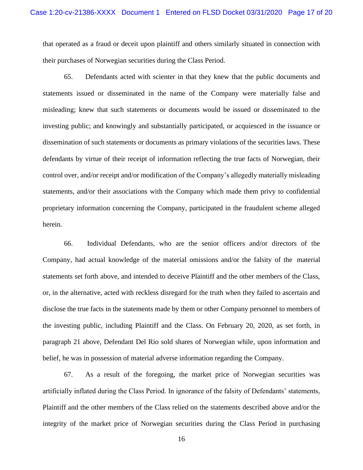that operated as a fraud or deceit upon plaintiff and others similarly situated in connection with their purchases of Norwegian securities during the Class Period.

65. Defendants acted with scienter in that they knew that the public documents and statements issued or disseminated in the name of the Company were materially false and misleading; knew that such statements or documents would be issued or disseminated to the investing public; and knowingly and substantially participated, or acquiesced in the issuance or dissemination of such statements or documents as primary violations of the securities laws. These defendants by virtue of their receipt of information reflecting the true facts of Norwegian, their control over, and/or receipt and/or modification of the Company's allegedly materially misleading statements, and/or their associations with the Company which made them privy to confidential proprietary information concerning the Company, participated in the fraudulent scheme alleged herein.

66. Individual Defendants, who are the senior officers and/or directors of the Company, had actual knowledge of the material omissions and/or the falsity of the material statements set forth above, and intended to deceive Plaintiff and the other members of the Class, or, in the alternative, acted with reckless disregard for the truth when they failed to ascertain and disclose the true facts in the statements made by them or other Company personnel to members of the investing public, including Plaintiff and the Class. On February 20, 2020, as set forth, in paragraph 21 above, Defendant Del Rio sold shares of Norwegian while, upon information and belief, he was in possession of material adverse information regarding the Company.

67. As a result of the foregoing, the market price of Norwegian securities was artificially inflated during the Class Period. In ignorance of the falsity of Defendants' statements, Plaintiff and the other members of the Class relied on the statements described above and/or the integrity of the market price of Norwegian securities during the Class Period in purchasing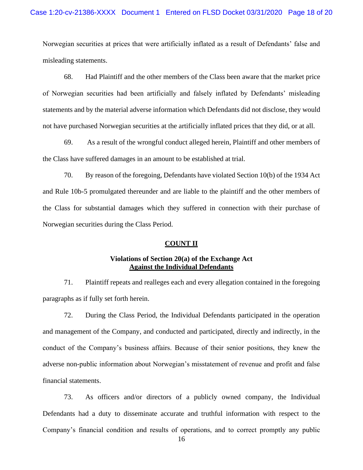Norwegian securities at prices that were artificially inflated as a result of Defendants' false and misleading statements.

68. Had Plaintiff and the other members of the Class been aware that the market price of Norwegian securities had been artificially and falsely inflated by Defendants' misleading statements and by the material adverse information which Defendants did not disclose, they would not have purchased Norwegian securities at the artificially inflated prices that they did, or at all.

69. As a result of the wrongful conduct alleged herein, Plaintiff and other members of the Class have suffered damages in an amount to be established at trial.

70. By reason of the foregoing, Defendants have violated Section 10(b) of the 1934 Act and Rule 10b-5 promulgated thereunder and are liable to the plaintiff and the other members of the Class for substantial damages which they suffered in connection with their purchase of Norwegian securities during the Class Period.

### **COUNT II**

### **Violations of Section 20(a) of the Exchange Act Against the Individual Defendants**

71. Plaintiff repeats and realleges each and every allegation contained in the foregoing paragraphs as if fully set forth herein.

72. During the Class Period, the Individual Defendants participated in the operation and management of the Company, and conducted and participated, directly and indirectly, in the conduct of the Company's business affairs. Because of their senior positions, they knew the adverse non-public information about Norwegian's misstatement of revenue and profit and false financial statements.

73. As officers and/or directors of a publicly owned company, the Individual Defendants had a duty to disseminate accurate and truthful information with respect to the Company's financial condition and results of operations, and to correct promptly any public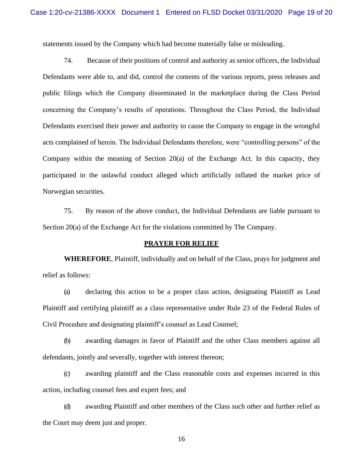statements issued by the Company which had become materially false or misleading.

74. Because of their positions of control and authority as senior officers, the Individual Defendants were able to, and did, control the contents of the various reports, press releases and public filings which the Company disseminated in the marketplace during the Class Period concerning the Company's results of operations. Throughout the Class Period, the Individual Defendants exercised their power and authority to cause the Company to engage in the wrongful acts complained of herein. The Individual Defendants therefore, were "controlling persons" of the Company within the meaning of Section 20(a) of the Exchange Act. In this capacity, they participated in the unlawful conduct alleged which artificially inflated the market price of Norwegian securities.

75. By reason of the above conduct, the Individual Defendants are liable pursuant to Section 20(a) of the Exchange Act for the violations committed by The Company.

### **PRAYER FOR RELIEF**

**WHEREFORE**, Plaintiff, individually and on behalf of the Class, prays for judgment and relief as follows:

(a) declaring this action to be a proper class action, designating Plaintiff as Lead Plaintiff and certifying plaintiff as a class representative under Rule 23 of the Federal Rules of Civil Procedure and designating plaintiff's counsel as Lead Counsel;

(b) awarding damages in favor of Plaintiff and the other Class members against all defendants, jointly and severally, together with interest thereon;

(c) awarding plaintiff and the Class reasonable costs and expenses incurred in this action, including counsel fees and expert fees; and

(d) awarding Plaintiff and other members of the Class such other and further relief as the Court may deem just and proper.

16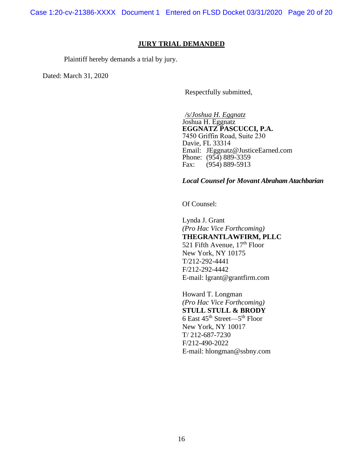Case 1:20-cv-21386-XXXX Document 1 Entered on FLSD Docket 03/31/2020 Page 20 of 20

### **JURY TRIAL DEMANDED**

Plaintiff hereby demands a trial by jury.

Dated: March 31, 2020

Respectfully submitted,

*/s/Joshua H. Eggnatz* Joshua H. Eggnatz **EGGNATZ PASCUCCI, P.A.**  7450 Griffin Road, Suite 230 Davie, FL 33314 Email: JEggnatz@JusticeEarned.com Phone: (954) 889-3359 Fax: (954) 889-5913

### *Local Counsel for Movant Abraham Atachbarian*

Of Counsel:

Lynda J. Grant *(Pro Hac Vice Forthcoming)*  **THEGRANTLAWFIRM, PLLC**  521 Fifth Avenue,  $17<sup>th</sup>$  Floor New York, NY 10175 T/212-292-4441 F/212-292-4442 [E-mail: lgrant@grantfirm.com](mailto:E-mail:%20lgrant@grantfirm.com)

Howard T. Longman *(Pro Hac Vice Forthcoming)*  **STULL STULL & BRODY**  6 East  $45^{\text{th}}$  Street— $5^{\text{th}}$  Floor New York, NY 10017 T/ 212-687-7230 F/212-490-2022 E-mail: hlongman@ssbny.com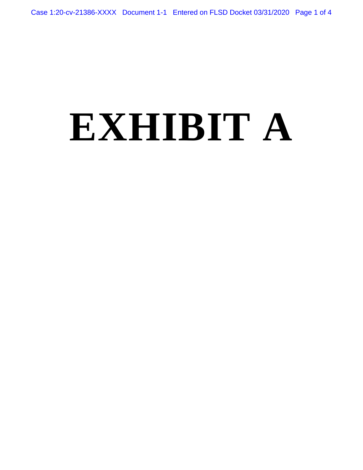# **EXHIBIT A**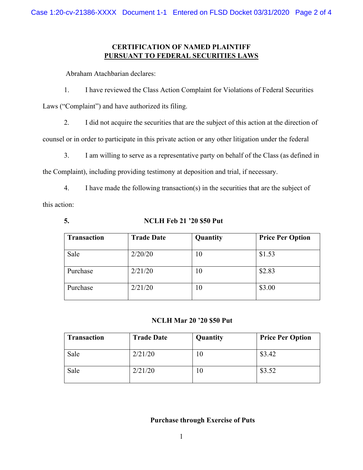# **CERTIFICATION OF NAMED PLAINTIFF PURSUANT TO FEDERAL SECURITIES LAWS**

Abraham Atachbarian declares:

1. I have reviewed the Class Action Complaint for Violations of Federal Securities

Laws ("Complaint") and have authorized its filing.

2. I did not acquire the securities that are the subject of this action at the direction of

counsel or in order to participate in this private action or any other litigation under the federal

3. I am willing to serve as a representative party on behalf of the Class (as defined in

the Complaint), including providing testimony at deposition and trial, if necessary.

- 4. I have made the following transaction(s) in the securities that are the subject of this action:
	-

# **5. NCLH Feb 21 '20 \$50 Put**

| <b>Transaction</b> | <b>Trade Date</b> | Quantity | <b>Price Per Option</b> |
|--------------------|-------------------|----------|-------------------------|
| Sale               | 2/20/20           | 10       | \$1.53                  |
| Purchase           | 2/21/20           | 10       | \$2.83                  |
| Purchase           | 2/21/20           | 10       | \$3.00                  |

# **NCLH Mar 20 '20 \$50 Put**

| <b>Transaction</b> | <b>Trade Date</b> | Quantity | <b>Price Per Option</b> |  |  |
|--------------------|-------------------|----------|-------------------------|--|--|
| Sale               | 2/21/20           | 10       | \$3.42                  |  |  |
| Sale               | 2/21/20           | 10       | \$3.52                  |  |  |

# **Purchase through Exercise of Puts**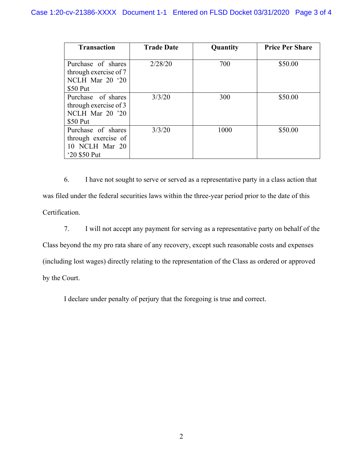| <b>Transaction</b>    | <b>Trade Date</b> | Quantity | <b>Price Per Share</b> |
|-----------------------|-------------------|----------|------------------------|
|                       |                   |          |                        |
| Purchase of shares    | 2/28/20           | 700      | \$50.00                |
| through exercise of 7 |                   |          |                        |
| NCLH Mar 20 '20       |                   |          |                        |
| \$50 Put              |                   |          |                        |
| Purchase of shares    | 3/3/20            | 300      | \$50.00                |
| through exercise of 3 |                   |          |                        |
| NCLH Mar 20 '20       |                   |          |                        |
| \$50 Put              |                   |          |                        |
| Purchase of shares    | 3/3/20            | 1000     | \$50.00                |
| through exercise of   |                   |          |                        |
| 10 NCLH Mar 20        |                   |          |                        |
| '20 \$50 Put          |                   |          |                        |

6. I have not sought to serve or served as a representative party in a class action that was filed under the federal securities laws within the three-year period prior to the date of this Certification.

7. I will not accept any payment for serving as a representative party on behalf of the Class beyond the my pro rata share of any recovery, except such reasonable costs and expenses (including lost wages) directly relating to the representation of the Class as ordered or approved by the Court.

I declare under penalty of perjury that the foregoing is true and correct.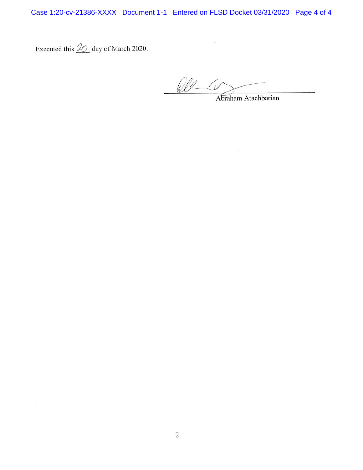Case 1:20-cv-21386-XXXX Document 1-1 Entered on FLSD Docket 03/31/2020 Page 4 of 4

Executed this  $\mathcal{Q}_\text{O}$  day of March 2020.

Re C Abraham Atachbarian

 $\sqrt{2}$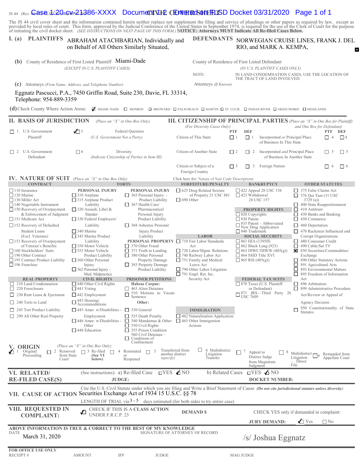# IS 44 (Rev. **Case S. 20 cW 21386-XXXX** Document VII CENTER CSONT FLISD Docket 03/31/2020 Page 1 of 1

The JS 44 civil cover sheet and the information contained herein neither replace nor supplement the filing and service of pleadings or other papers as required by law, except as provided by local rules of court. This form,

### I. (a) PLAINTIFFS ABRAHAM ATACHBARIAN, Individually and DEFENDANTS on Behalf of All Others Similarly Situated,

### DEFENDANTS NORWEGIAN CRUISE LINES, FRANK J. DEL RIO, and MARK A. KEMPA,  $\mathbf{E}$

| (b)                                                                                               | County of Residence of First Listed Plaintiff Miami-Dade<br>(EXCEPT IN U.S. PLAINTIFF CASES) |                                                                                                                                                                                                                           |                                                                                                                                                                                                                                       | County of Residence of First Listed Defendant<br>(IN U.S. PLAINTIFF CASES ONLY) |                                                                               |                                                            |                                                         |  |
|---------------------------------------------------------------------------------------------------|----------------------------------------------------------------------------------------------|---------------------------------------------------------------------------------------------------------------------------------------------------------------------------------------------------------------------------|---------------------------------------------------------------------------------------------------------------------------------------------------------------------------------------------------------------------------------------|---------------------------------------------------------------------------------|-------------------------------------------------------------------------------|------------------------------------------------------------|---------------------------------------------------------|--|
|                                                                                                   |                                                                                              |                                                                                                                                                                                                                           | NOTE:                                                                                                                                                                                                                                 |                                                                                 | IN LAND CONDEMNATION CASES, USE THE LOCATION OF                               |                                                            |                                                         |  |
| (c) Attorneys (Firm Name, Address, and Telephone Number)                                          |                                                                                              |                                                                                                                                                                                                                           | Attorneys (If Known)                                                                                                                                                                                                                  |                                                                                 | THE TRACT OF LAND INVOLVED.                                                   |                                                            |                                                         |  |
| Eggnatz Pascucci, P.A., 7450 Griffin Road, Suite 230, Davie, FL 33314,<br>Telephone: 954-889-3359 |                                                                                              |                                                                                                                                                                                                                           |                                                                                                                                                                                                                                       |                                                                                 |                                                                               |                                                            |                                                         |  |
| (d) Check County Where Action Arose:                                                              |                                                                                              |                                                                                                                                                                                                                           | MIAMI-DADE O MONROE O BROWARD O PALM BEACH O MARTIN O ST. LUCIE O INDIAN RIVER O OKEECHOBEE O HIGHLANDS                                                                                                                               |                                                                                 |                                                                               |                                                            |                                                         |  |
| <b>II. BASIS OF JURISDICTION</b>                                                                  |                                                                                              | (Place an "X" in One Box Only)                                                                                                                                                                                            | <b>III. CITIZENSHIP OF PRINCIPAL PARTIES</b> (Place an "X" in One Box for Plaintiff)                                                                                                                                                  |                                                                                 |                                                                               |                                                            |                                                         |  |
| U.S. Government                                                                                   | $\sqrt{3}$                                                                                   | Federal Question                                                                                                                                                                                                          | (For Diversity Cases Only)                                                                                                                                                                                                            | <b>DEF</b><br><b>PTF</b>                                                        |                                                                               | and One Box for Defendant)                                 | <b>PTF</b><br>DEF                                       |  |
| $\Box$ 1<br>Plaintiff                                                                             | (U.S. Government Not a Party)                                                                |                                                                                                                                                                                                                           | Citizen of This State                                                                                                                                                                                                                 | $\Box$ 1<br>$\Box$ 1                                                            | Incorporated or Principal Place<br>of Business In This State                  |                                                            | $\Box$ <sup>4</sup><br>П4                               |  |
| $\Box$ 2 U.S. Government<br>Defendant                                                             | $\Box$                                                                                       | Diversity<br>(Indicate Citizenship of Parties in Item III)                                                                                                                                                                | Citizen of Another State                                                                                                                                                                                                              | $\Box$ 2<br>$\Box$ 2                                                            | Incorporated and Principal Place<br>of Business In Another State              |                                                            | $\Box$ 5<br>$\Box$ 5                                    |  |
|                                                                                                   |                                                                                              |                                                                                                                                                                                                                           | Citizen or Subject of a<br>Foreign Country                                                                                                                                                                                            | 3<br>$\Box$ 3<br>П                                                              | Foreign Nation                                                                |                                                            | $\Box$ 6<br>П<br>- 6                                    |  |
| IV. NATURE OF SUIT (Place an "X" in One Box Only)<br><b>CONTRACT</b>                              |                                                                                              | <b>TORTS</b>                                                                                                                                                                                                              | Click here for: Nature of Suit Code Descriptions                                                                                                                                                                                      |                                                                                 | <b>BANKRUPTCY</b>                                                             |                                                            | <b>OTHER STATUTES</b>                                   |  |
| $\Box$ 110 Insurance                                                                              | PERSONAL INJURY                                                                              | PERSONAL INJURY                                                                                                                                                                                                           | <b>FORFEITURE/PENALTY</b><br>□ 625 Drug Related Seizure                                                                                                                                                                               |                                                                                 | $\Box$ 422 Appeal 28 USC 158                                                  | $\Box$ 375 False Claims Act                                |                                                         |  |
| $\Box$ 120 Marine                                                                                 | $\Box$ 310 Airplane                                                                          | $\Box$ 365 Personal Injury -                                                                                                                                                                                              | of Property 21 USC 881                                                                                                                                                                                                                | $\Box$ 423 Withdrawal                                                           |                                                                               | $\Box$ 376 Qui Tam (31 USC                                 |                                                         |  |
| $\Box$ 130 Miller Act<br>$\Box$ 140 Negotiable Instrument                                         | $\Box$ 315 Airplane Product<br>Liability                                                     | Product Liability<br>$\Box$ 367 Health Care/                                                                                                                                                                              | $\Box$ 690 Other                                                                                                                                                                                                                      |                                                                                 | 28 USC 157                                                                    | 3729(a)<br>400 State Reapportionment                       |                                                         |  |
| $\Box$ 150 Recovery of Overpayment<br>& Enforcement of Judgment                                   | $\Box$ 320 Assault, Libel &<br>Slander                                                       | Pharmaceutical                                                                                                                                                                                                            |                                                                                                                                                                                                                                       | $\Box$ 820 Copyrights                                                           | <b>PROPERTY RIGHTS</b>                                                        | $\Box$ 410 Antitrust<br>430 Banks and Banking<br>□.        |                                                         |  |
| □ 151 Medicare Act                                                                                | $\Box$ 330 Federal Employers'                                                                | Personal Injury<br>Product Liability                                                                                                                                                                                      |                                                                                                                                                                                                                                       | $\Box$ 830 Patent                                                               |                                                                               | $\Box$ 450 Commerce                                        |                                                         |  |
| $\Box$ 152 Recovery of Defaulted                                                                  | Liability                                                                                    | $\Box$ 368 Asbestos Personal                                                                                                                                                                                              |                                                                                                                                                                                                                                       |                                                                                 | $\frac{835 \text{ Patent} - \text{Abbreviated}}{\text{New Drug Application}}$ | $\Box$ 460 Deportation                                     |                                                         |  |
| Student Loans<br>(Excl. Veterans)                                                                 | $\Box$ 340 Marine<br>$\Box$ 345 Marine Product                                               | Injury Product<br>Liability                                                                                                                                                                                               | <b>LABOR</b>                                                                                                                                                                                                                          | $\Box$ 840 Trademark                                                            | <b>SOCIAL SECURITY</b>                                                        | Corrupt Organizations                                      | $\Box$ 470 Racketeer Influenced and                     |  |
| $\Box$ 153 Recovery of Overpayment                                                                | Liability                                                                                    |                                                                                                                                                                                                                           | PERSONAL PROPERTY □ 710 Fair Labor Standards                                                                                                                                                                                          | $\Box$ 861 HIA (1395ff)                                                         |                                                                               | $\Box$ 480 Consumer Credit                                 |                                                         |  |
| of Veteran's Benefits<br>$\Box$ 160 Stockholders' Suits                                           | $\Box$ 350 Motor Vehicle<br>$\Box$ 355 Motor Vehicle                                         | $\Box$ 370 Other Fraud<br>$\Box$ 371 Truth in Lending                                                                                                                                                                     | Act<br>$\Box$ 720 Labor/Mgmt. Relations                                                                                                                                                                                               | $\Box$ 862 Black Lung (923)                                                     | $\Box$ 863 DIWC/DIWW (405(g))                                                 | □<br>490 Cable/Sat TV                                      | 850 Securities/Commodities/                             |  |
| $\Box$ 190 Other Contract<br>□ 195 Contract Product Liability                                     | Product Liability<br>$\Box$ 360 Other Personal                                               | $\Box$ 380 Other Personal                                                                                                                                                                                                 | $\Box$ 740 Railway Labor Act<br>$\Box$ 751 Family and Medical                                                                                                                                                                         | $\Box$ 864 SSID Title XVI<br>$\Box$ 865 RSI (405(g))                            |                                                                               | Exchange                                                   | 890 Other Statutory Actions                             |  |
| $\Box$ 196 Franchise                                                                              | Injury                                                                                       | Property Damage<br>385 Property Damage                                                                                                                                                                                    | Leave Act                                                                                                                                                                                                                             |                                                                                 |                                                                               | □<br>891 Agricultural Acts                                 |                                                         |  |
|                                                                                                   | $\Box$ 362 Personal Injury -<br>Med. Malpractice                                             | Product Liability                                                                                                                                                                                                         | $\Box$ 790 Other Labor Litigation<br>$\Box$ 791 Empl. Ret. Inc.                                                                                                                                                                       |                                                                                 |                                                                               | □<br>п                                                     | 893 Environmental Matters<br>895 Freedom of Information |  |
| <b>REAL PROPERTY</b>                                                                              | <b>CIVIL RIGHTS</b>                                                                          | <b>PRISONER PETITIONS</b>                                                                                                                                                                                                 | Security Act                                                                                                                                                                                                                          |                                                                                 | <b>FEDERAL TAX SUITS</b>                                                      | Act                                                        |                                                         |  |
| $\Box$ 210 Land Condemnation<br>$\Box$ 220 Foreclosure                                            | $\Box$ 440 Other Civil Rights<br>$\Box$ 441 Voting                                           | <b>Habeas Corpus:</b><br>463 Alien Detainee<br>⊔                                                                                                                                                                          |                                                                                                                                                                                                                                       |                                                                                 | $\Box$ 870 Taxes (U.S. Plaintiff<br>or Defendant)                             | $\Box$ 896 Arbitration                                     | $\Box$ 899 Administrative Procedure                     |  |
| $\Box$ 230 Rent Lease & Ejectment                                                                 | $\Box$ 442 Employment                                                                        | 510 Motions to Vacate<br>Sentence                                                                                                                                                                                         |                                                                                                                                                                                                                                       | $\Box$ <sup>o</sup> USC 7609                                                    | 871 IRS-Third Party 26                                                        |                                                            | Act/Review or Appeal of                                 |  |
| $\Box$ 240 Torts to Land                                                                          | $\Box$ 443 Housing/<br>Accommodations                                                        | Other:                                                                                                                                                                                                                    |                                                                                                                                                                                                                                       |                                                                                 |                                                                               | Agency Decision                                            |                                                         |  |
| $\Box$ 245 Tort Product Liability                                                                 | $\Box$ 445 Amer. w/Disabilities - $\Box$ 530 General                                         |                                                                                                                                                                                                                           | <b>IMMIGRATION</b>                                                                                                                                                                                                                    |                                                                                 |                                                                               | □<br><b>Statutes</b>                                       | 950 Constitutionality of State                          |  |
| $\Box$ 290 All Other Real Property                                                                | Employment<br>Other<br>$\Box$ 448 Education                                                  | $\Box$ 535 Death Penalty<br>$\Box$ 446 Amer. w/Disabilities - $\Box$ 540 Mandamus & Other $\Box$ 465 Other Immigration<br>$\Box$ 550 Civil Rights<br>$\Box$ 555 Prison Condition<br>560 Civil Detainee -<br>Conditions of | $\Box$ 462 Naturalization Application<br>Actions                                                                                                                                                                                      |                                                                                 |                                                                               |                                                            |                                                         |  |
| V. ORIGIN                                                                                         | (Place an "X" in One Box Only)                                                               | Confinement                                                                                                                                                                                                               |                                                                                                                                                                                                                                       |                                                                                 |                                                                               |                                                            |                                                         |  |
| $\sqrt{1}$ 1 Original<br>2 Removed<br>from State<br>Proceeding<br>Court                           | $\Box$ 3 Re-filed $\Box$<br>$\overline{4}$<br>(See VI<br>below)                              | Reinstated<br>-5<br>П<br>or<br>(specify)<br>Reopened                                                                                                                                                                      | ப<br>6 Multidistrict<br>Transferred from<br>another district<br>Litigation<br>Transfer                                                                                                                                                | 7<br>Appeal to                                                                  | 8<br>District Judge<br>from Magistrate<br>Judgment                            | Multidistrict $\Box$ 9<br>Litigation<br>$-$ Direct<br>File | Remanded from<br>Appellate Court                        |  |
| VI. RELATED/                                                                                      | (See instructions): a) Re-filed Case                                                         |                                                                                                                                                                                                                           | $TYES$ $\triangle$ NO<br>b) Related Cases                                                                                                                                                                                             |                                                                                 | $TYES \n\blacktriangle$ NO                                                    |                                                            |                                                         |  |
| <b>RE-FILED CASE(S)</b>                                                                           | <b>JUDGE:</b>                                                                                |                                                                                                                                                                                                                           |                                                                                                                                                                                                                                       |                                                                                 | <b>DOCKET NUMBER:</b>                                                         |                                                            |                                                         |  |
| VII. CAUSE OF ACTION                                                                              |                                                                                              | Securities Exchange Act of 1934 15 U.S.C. §§ 78                                                                                                                                                                           | Cite the U.S. Civil Statute under which you are filing and Write a Brief Statement of Cause (Do not cite jurisdictional statutes unless diversity):<br>LENGTH OF TRIAL via $3 - 5$ days estimated (for both sides to try entire case) |                                                                                 |                                                                               |                                                            |                                                         |  |
| VIII. REQUESTED IN                                                                                |                                                                                              | CHECK IF THIS IS A CLASS ACTION                                                                                                                                                                                           |                                                                                                                                                                                                                                       |                                                                                 |                                                                               |                                                            |                                                         |  |
| <b>COMPLAINT:</b>                                                                                 | UNDER F.R.C.P. 23                                                                            |                                                                                                                                                                                                                           | <b>DEMAND \$</b>                                                                                                                                                                                                                      |                                                                                 | CHECK YES only if demanded in complaint:                                      |                                                            |                                                         |  |
|                                                                                                   |                                                                                              |                                                                                                                                                                                                                           |                                                                                                                                                                                                                                       |                                                                                 | <b>JURY DEMAND:</b>                                                           | $\bigwedge$ Yes                                            | $\square$ No                                            |  |
| ABOVE INFORMATION IS TRUE & CORRECT TO THE BEST OF MY KNOWLEDGE<br>DATE<br>March 31, 2020         |                                                                                              |                                                                                                                                                                                                                           | SIGNATURE OF ATTORNEY OF RECORD                                                                                                                                                                                                       |                                                                                 | /s/ Joshua Eggnatz                                                            |                                                            |                                                         |  |
| FOR OFFICE USE ONLY<br>RECEIPT#                                                                   | IFP<br><b>AMOUNT</b>                                                                         | <b>JUDGE</b>                                                                                                                                                                                                              |                                                                                                                                                                                                                                       | MAG JUDGE                                                                       |                                                                               |                                                            |                                                         |  |